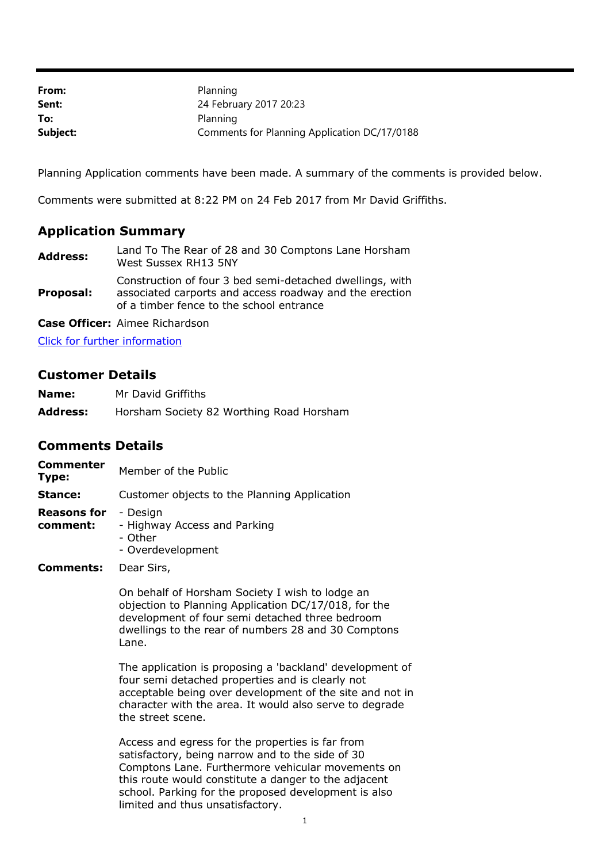| From:    | Planning                                     |
|----------|----------------------------------------------|
| Sent:    | 24 February 2017 20:23                       |
| To:      | Planning                                     |
| Subject: | Comments for Planning Application DC/17/0188 |

Planning Application comments have been made. A summary of the comments is provided below.

Comments were submitted at 8:22 PM on 24 Feb 2017 from Mr David Griffiths.

## **Application Summary**

| <b>Address:</b> | Land To The Rear of 28 and 30 Comptons Lane Horsham<br>West Sussex RH13 5NY                                                                                     |
|-----------------|-----------------------------------------------------------------------------------------------------------------------------------------------------------------|
| Proposal:       | Construction of four 3 bed semi-detached dwellings, with<br>associated carports and access roadway and the erection<br>of a timber fence to the school entrance |

**Case Officer:** Aimee Richardson

[Click for further information](https://public-access.horsham.gov.uk/public-access//centralDistribution.do?caseType=Application&keyVal=OKG1SCIJFZQ00)

## **Customer Details**

| Name:           | Mr David Griffiths                       |
|-----------------|------------------------------------------|
| <b>Address:</b> | Horsham Society 82 Worthing Road Horsham |

## **Comments Details**

| Commenter<br>Type:             | Member of the Public                                                     |
|--------------------------------|--------------------------------------------------------------------------|
| Stance:                        | Customer objects to the Planning Application                             |
| <b>Reasons for</b><br>comment: | - Design<br>- Highway Access and Parking<br>- Other<br>- Overdevelopment |
| Comments:                      | Dear Sirs,                                                               |

On behalf of Horsham Society I wish to lodge an objection to Planning Application DC/17/018, for the development of four semi detached three bedroom dwellings to the rear of numbers 28 and 30 Comptons Lane.

The application is proposing a 'backland' development of four semi detached properties and is clearly not acceptable being over development of the site and not in character with the area. It would also serve to degrade the street scene.

Access and egress for the properties is far from satisfactory, being narrow and to the side of 30 Comptons Lane. Furthermore vehicular movements on this route would constitute a danger to the adjacent school. Parking for the proposed development is also limited and thus unsatisfactory.